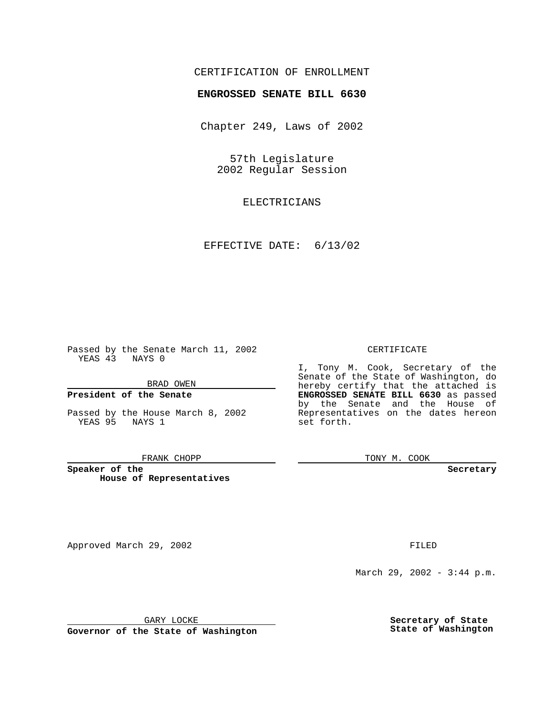## CERTIFICATION OF ENROLLMENT

# **ENGROSSED SENATE BILL 6630**

Chapter 249, Laws of 2002

57th Legislature 2002 Regular Session

ELECTRICIANS

EFFECTIVE DATE: 6/13/02

Passed by the Senate March 11, 2002 YEAS 43 NAYS 0

BRAD OWEN

### **President of the Senate**

Passed by the House March 8, 2002 YEAS 95 NAYS 1

#### FRANK CHOPP

**Speaker of the House of Representatives**

Approved March 29, 2002 **FILED** 

#### CERTIFICATE

I, Tony M. Cook, Secretary of the Senate of the State of Washington, do hereby certify that the attached is **ENGROSSED SENATE BILL 6630** as passed by the Senate and the House of Representatives on the dates hereon set forth.

TONY M. COOK

**Secretary**

March 29, 2002 - 3:44 p.m.

GARY LOCKE

**Governor of the State of Washington**

**Secretary of State State of Washington**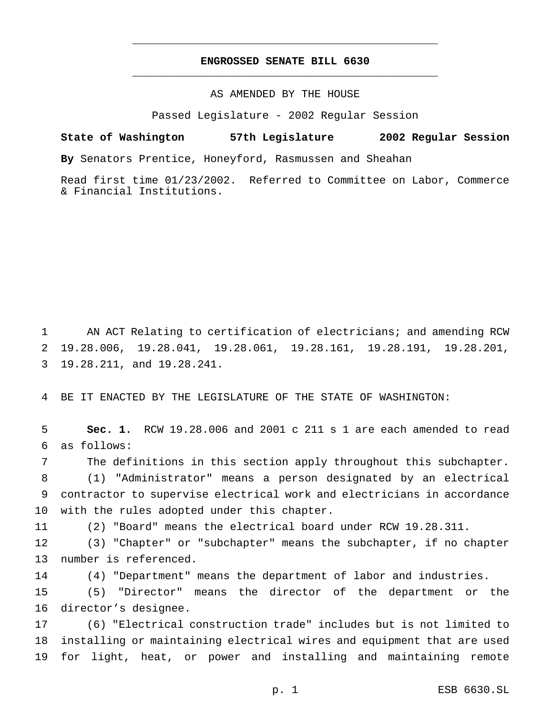## **ENGROSSED SENATE BILL 6630** \_\_\_\_\_\_\_\_\_\_\_\_\_\_\_\_\_\_\_\_\_\_\_\_\_\_\_\_\_\_\_\_\_\_\_\_\_\_\_\_\_\_\_\_\_\_\_

\_\_\_\_\_\_\_\_\_\_\_\_\_\_\_\_\_\_\_\_\_\_\_\_\_\_\_\_\_\_\_\_\_\_\_\_\_\_\_\_\_\_\_\_\_\_\_

### AS AMENDED BY THE HOUSE

Passed Legislature - 2002 Regular Session

# **State of Washington 57th Legislature 2002 Regular Session**

**By** Senators Prentice, Honeyford, Rasmussen and Sheahan

Read first time 01/23/2002. Referred to Committee on Labor, Commerce & Financial Institutions.

 AN ACT Relating to certification of electricians; and amending RCW 19.28.006, 19.28.041, 19.28.061, 19.28.161, 19.28.191, 19.28.201, 19.28.211, and 19.28.241.

BE IT ENACTED BY THE LEGISLATURE OF THE STATE OF WASHINGTON:

 **Sec. 1.** RCW 19.28.006 and 2001 c 211 s 1 are each amended to read as follows:

 The definitions in this section apply throughout this subchapter. (1) "Administrator" means a person designated by an electrical contractor to supervise electrical work and electricians in accordance with the rules adopted under this chapter.

(2) "Board" means the electrical board under RCW 19.28.311.

 (3) "Chapter" or "subchapter" means the subchapter, if no chapter number is referenced.

(4) "Department" means the department of labor and industries.

 (5) "Director" means the director of the department or the director's designee.

 (6) "Electrical construction trade" includes but is not limited to installing or maintaining electrical wires and equipment that are used for light, heat, or power and installing and maintaining remote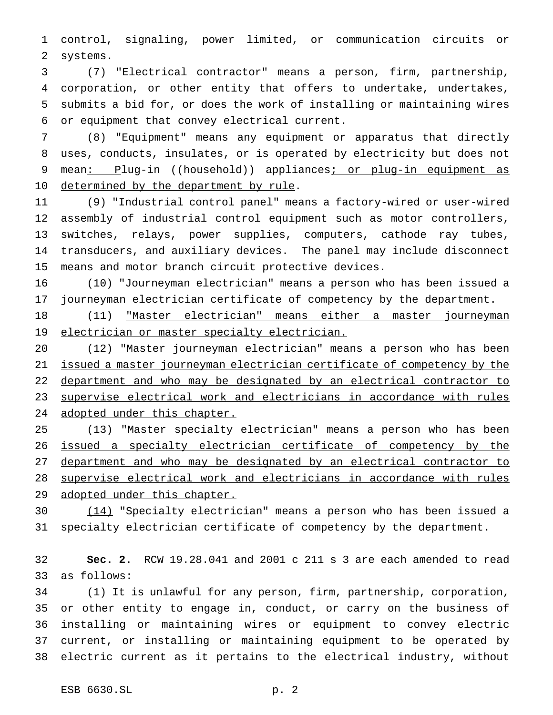control, signaling, power limited, or communication circuits or systems.

 (7) "Electrical contractor" means a person, firm, partnership, corporation, or other entity that offers to undertake, undertakes, submits a bid for, or does the work of installing or maintaining wires or equipment that convey electrical current.

 (8) "Equipment" means any equipment or apparatus that directly 8 uses, conducts, insulates, or is operated by electricity but does not 9 mean: Plug-in ((household)) appliances; or plug-in equipment as 10 determined by the department by rule.

 (9) "Industrial control panel" means a factory-wired or user-wired assembly of industrial control equipment such as motor controllers, switches, relays, power supplies, computers, cathode ray tubes, transducers, and auxiliary devices. The panel may include disconnect means and motor branch circuit protective devices.

 (10) "Journeyman electrician" means a person who has been issued a journeyman electrician certificate of competency by the department.

 (11) "Master electrician" means either a master journeyman 19 electrician or master specialty electrician.

 (12) "Master journeyman electrician" means a person who has been issued a master journeyman electrician certificate of competency by the 22 department and who may be designated by an electrical contractor to supervise electrical work and electricians in accordance with rules 24 adopted under this chapter.

 (13) "Master specialty electrician" means a person who has been issued a specialty electrician certificate of competency by the department and who may be designated by an electrical contractor to supervise electrical work and electricians in accordance with rules 29 adopted under this chapter.

 (14) "Specialty electrician" means a person who has been issued a specialty electrician certificate of competency by the department.

 **Sec. 2.** RCW 19.28.041 and 2001 c 211 s 3 are each amended to read as follows:

 (1) It is unlawful for any person, firm, partnership, corporation, or other entity to engage in, conduct, or carry on the business of installing or maintaining wires or equipment to convey electric current, or installing or maintaining equipment to be operated by electric current as it pertains to the electrical industry, without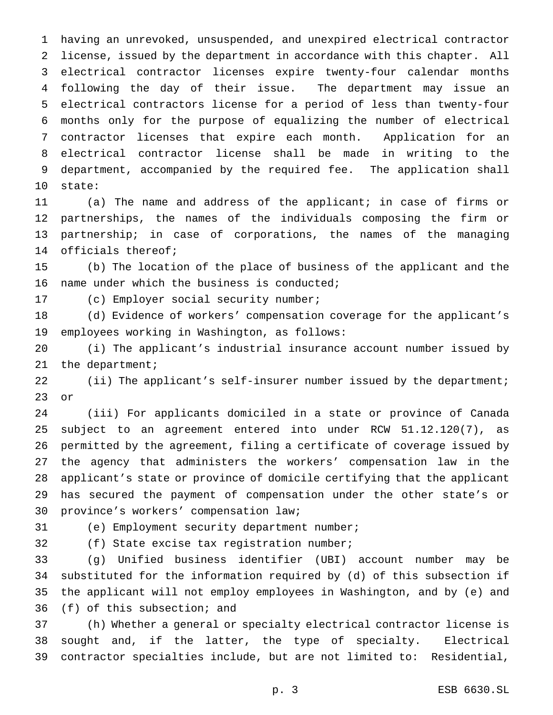having an unrevoked, unsuspended, and unexpired electrical contractor license, issued by the department in accordance with this chapter. All electrical contractor licenses expire twenty-four calendar months following the day of their issue. The department may issue an electrical contractors license for a period of less than twenty-four months only for the purpose of equalizing the number of electrical contractor licenses that expire each month. Application for an electrical contractor license shall be made in writing to the department, accompanied by the required fee. The application shall state:

 (a) The name and address of the applicant; in case of firms or partnerships, the names of the individuals composing the firm or partnership; in case of corporations, the names of the managing officials thereof;

 (b) The location of the place of business of the applicant and the name under which the business is conducted;

(c) Employer social security number;

 (d) Evidence of workers' compensation coverage for the applicant's employees working in Washington, as follows:

 (i) The applicant's industrial insurance account number issued by 21 the department;

 (ii) The applicant's self-insurer number issued by the department; or

 (iii) For applicants domiciled in a state or province of Canada subject to an agreement entered into under RCW 51.12.120(7), as permitted by the agreement, filing a certificate of coverage issued by the agency that administers the workers' compensation law in the applicant's state or province of domicile certifying that the applicant has secured the payment of compensation under the other state's or province's workers' compensation law;

(e) Employment security department number;

(f) State excise tax registration number;

 (g) Unified business identifier (UBI) account number may be substituted for the information required by (d) of this subsection if the applicant will not employ employees in Washington, and by (e) and (f) of this subsection; and

 (h) Whether a general or specialty electrical contractor license is sought and, if the latter, the type of specialty. Electrical contractor specialties include, but are not limited to: Residential,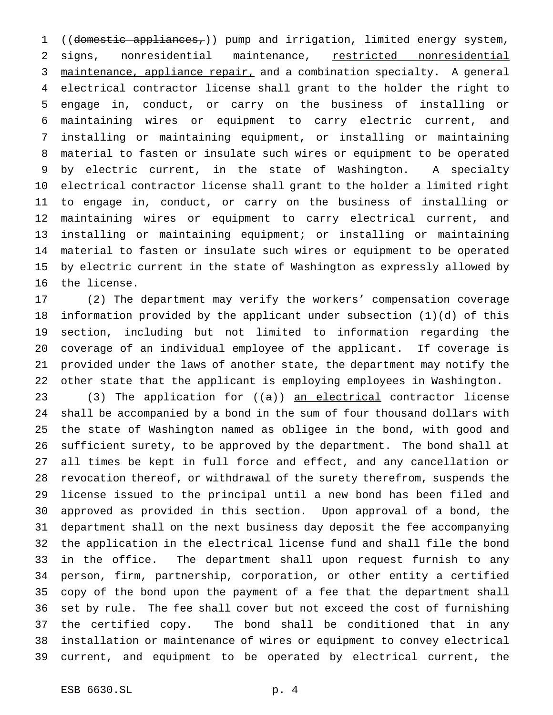1 ((domestic appliances,)) pump and irrigation, limited energy system, signs, nonresidential maintenance, restricted nonresidential 3 maintenance, appliance repair, and a combination specialty. A general electrical contractor license shall grant to the holder the right to engage in, conduct, or carry on the business of installing or maintaining wires or equipment to carry electric current, and installing or maintaining equipment, or installing or maintaining material to fasten or insulate such wires or equipment to be operated by electric current, in the state of Washington. A specialty electrical contractor license shall grant to the holder a limited right to engage in, conduct, or carry on the business of installing or maintaining wires or equipment to carry electrical current, and installing or maintaining equipment; or installing or maintaining material to fasten or insulate such wires or equipment to be operated by electric current in the state of Washington as expressly allowed by the license.

 (2) The department may verify the workers' compensation coverage information provided by the applicant under subsection (1)(d) of this section, including but not limited to information regarding the coverage of an individual employee of the applicant. If coverage is provided under the laws of another state, the department may notify the other state that the applicant is employing employees in Washington.

23 (3) The application for  $((a))$  an electrical contractor license shall be accompanied by a bond in the sum of four thousand dollars with the state of Washington named as obligee in the bond, with good and sufficient surety, to be approved by the department. The bond shall at all times be kept in full force and effect, and any cancellation or revocation thereof, or withdrawal of the surety therefrom, suspends the license issued to the principal until a new bond has been filed and approved as provided in this section. Upon approval of a bond, the department shall on the next business day deposit the fee accompanying the application in the electrical license fund and shall file the bond in the office. The department shall upon request furnish to any person, firm, partnership, corporation, or other entity a certified copy of the bond upon the payment of a fee that the department shall set by rule. The fee shall cover but not exceed the cost of furnishing the certified copy. The bond shall be conditioned that in any installation or maintenance of wires or equipment to convey electrical current, and equipment to be operated by electrical current, the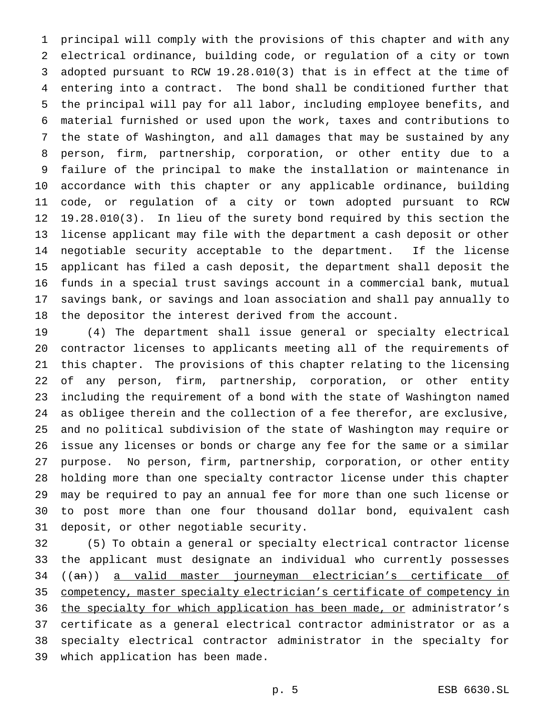principal will comply with the provisions of this chapter and with any electrical ordinance, building code, or regulation of a city or town adopted pursuant to RCW 19.28.010(3) that is in effect at the time of entering into a contract. The bond shall be conditioned further that the principal will pay for all labor, including employee benefits, and material furnished or used upon the work, taxes and contributions to the state of Washington, and all damages that may be sustained by any person, firm, partnership, corporation, or other entity due to a failure of the principal to make the installation or maintenance in accordance with this chapter or any applicable ordinance, building code, or regulation of a city or town adopted pursuant to RCW 19.28.010(3). In lieu of the surety bond required by this section the license applicant may file with the department a cash deposit or other negotiable security acceptable to the department. If the license applicant has filed a cash deposit, the department shall deposit the funds in a special trust savings account in a commercial bank, mutual savings bank, or savings and loan association and shall pay annually to the depositor the interest derived from the account.

 (4) The department shall issue general or specialty electrical contractor licenses to applicants meeting all of the requirements of this chapter. The provisions of this chapter relating to the licensing of any person, firm, partnership, corporation, or other entity including the requirement of a bond with the state of Washington named as obligee therein and the collection of a fee therefor, are exclusive, and no political subdivision of the state of Washington may require or issue any licenses or bonds or charge any fee for the same or a similar purpose. No person, firm, partnership, corporation, or other entity holding more than one specialty contractor license under this chapter may be required to pay an annual fee for more than one such license or to post more than one four thousand dollar bond, equivalent cash deposit, or other negotiable security.

 (5) To obtain a general or specialty electrical contractor license the applicant must designate an individual who currently possesses ((an)) a valid master journeyman electrician's certificate of competency, master specialty electrician's certificate of competency in 36 the specialty for which application has been made, or administrator's certificate as a general electrical contractor administrator or as a specialty electrical contractor administrator in the specialty for which application has been made.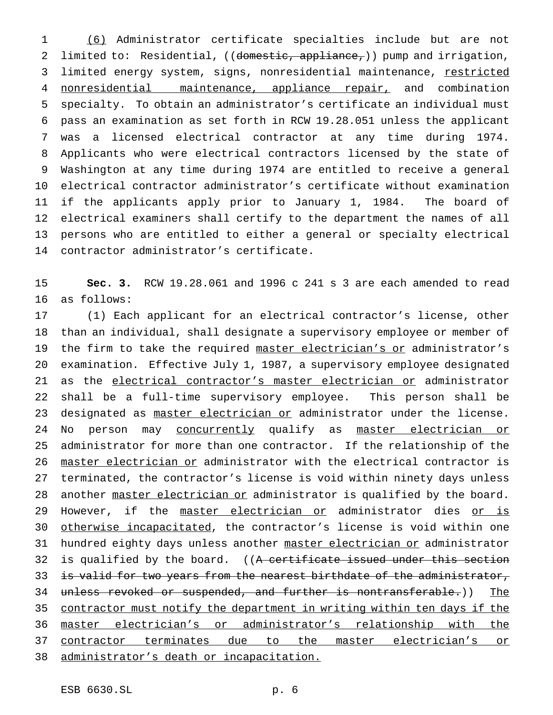(6) Administrator certificate specialties include but are not 2 limited to: Residential, ((domestic, appliance,)) pump and irrigation, 3 limited energy system, signs, nonresidential maintenance, restricted 4 nonresidential maintenance, appliance repair, and combination specialty. To obtain an administrator's certificate an individual must pass an examination as set forth in RCW 19.28.051 unless the applicant was a licensed electrical contractor at any time during 1974. Applicants who were electrical contractors licensed by the state of Washington at any time during 1974 are entitled to receive a general electrical contractor administrator's certificate without examination if the applicants apply prior to January 1, 1984. The board of electrical examiners shall certify to the department the names of all persons who are entitled to either a general or specialty electrical contractor administrator's certificate.

 **Sec. 3.** RCW 19.28.061 and 1996 c 241 s 3 are each amended to read as follows:

 (1) Each applicant for an electrical contractor's license, other than an individual, shall designate a supervisory employee or member of 19 the firm to take the required master electrician's or administrator's examination. Effective July 1, 1987, a supervisory employee designated 21 as the electrical contractor's master electrician or administrator shall be a full-time supervisory employee. This person shall be designated as master electrician or administrator under the license. 24 No person may concurrently qualify as master electrician or administrator for more than one contractor. If the relationship of the 26 master electrician or administrator with the electrical contractor is terminated, the contractor's license is void within ninety days unless 28 another master electrician or administrator is qualified by the board. 29 However, if the master electrician or administrator dies or is otherwise incapacitated, the contractor's license is void within one 31 hundred eighty days unless another master electrician or administrator 32 is qualified by the board. ((A certificate issued under this section 33 is valid for two years from the nearest birthdate of the administrator, 34 unless revoked or suspended, and further is nontransferable.)) The contractor must notify the department in writing within ten days if the master electrician's or administrator's relationship with the contractor terminates due to the master electrician's or administrator's death or incapacitation.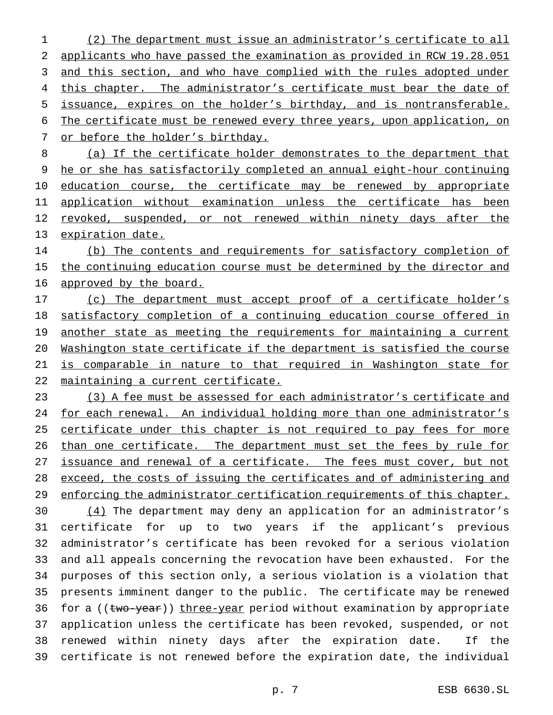(2) The department must issue an administrator's certificate to all applicants who have passed the examination as provided in RCW 19.28.051 and this section, and who have complied with the rules adopted under 4 this chapter. The administrator's certificate must bear the date of issuance, expires on the holder's birthday, and is nontransferable. The certificate must be renewed every three years, upon application, on or before the holder's birthday.

 (a) If the certificate holder demonstrates to the department that he or she has satisfactorily completed an annual eight-hour continuing 10 education course, the certificate may be renewed by appropriate application without examination unless the certificate has been 12 revoked, suspended, or not renewed within ninety days after the expiration date.

14 (b) The contents and requirements for satisfactory completion of the continuing education course must be determined by the director and 16 approved by the board.

17 (c) The department must accept proof of a certificate holder's satisfactory completion of a continuing education course offered in 19 another state as meeting the requirements for maintaining a current Washington state certificate if the department is satisfied the course is comparable in nature to that required in Washington state for maintaining a current certificate.

 (3) A fee must be assessed for each administrator's certificate and 24 for each renewal. An individual holding more than one administrator's 25 certificate under this chapter is not required to pay fees for more 26 than one certificate. The department must set the fees by rule for 27 issuance and renewal of a certificate. The fees must cover, but not exceed, the costs of issuing the certificates and of administering and enforcing the administrator certification requirements of this chapter.

30 (4) The department may deny an application for an administrator's certificate for up to two years if the applicant's previous administrator's certificate has been revoked for a serious violation and all appeals concerning the revocation have been exhausted. For the purposes of this section only, a serious violation is a violation that presents imminent danger to the public. The certificate may be renewed 36 for a ((two-year)) three-year period without examination by appropriate application unless the certificate has been revoked, suspended, or not renewed within ninety days after the expiration date. If the certificate is not renewed before the expiration date, the individual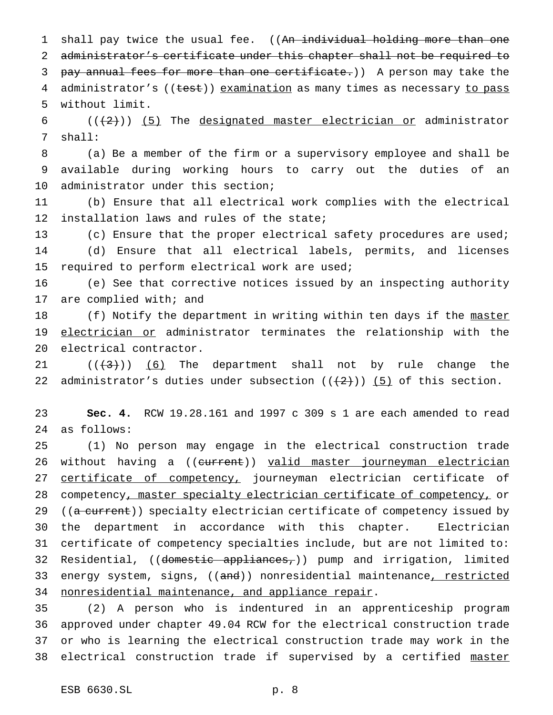1 shall pay twice the usual fee. ((An individual holding more than one 2 administrator's certificate under this chapter shall not be required to 3 pay annual fees for more than one certificate.)) A person may take the 4 administrator's ((test)) examination as many times as necessary to pass 5 without limit.

6  $((+2+))$  (5) The designated master electrician or administrator 7 shall:

8 (a) Be a member of the firm or a supervisory employee and shall be 9 available during working hours to carry out the duties of an 10 administrator under this section;

11 (b) Ensure that all electrical work complies with the electrical 12 installation laws and rules of the state;

13 (c) Ensure that the proper electrical safety procedures are used; 14 (d) Ensure that all electrical labels, permits, and licenses 15 required to perform electrical work are used;

16 (e) See that corrective notices issued by an inspecting authority 17 are complied with; and

18 (f) Notify the department in writing within ten days if the master 19 electrician or administrator terminates the relationship with the 20 electrical contractor.

21  $((+3))$   $(6)$  The department shall not by rule change the 22 administrator's duties under subsection  $((2+))$  (5) of this section.

23 **Sec. 4.** RCW 19.28.161 and 1997 c 309 s 1 are each amended to read 24 as follows:

25 (1) No person may engage in the electrical construction trade 26 without having a ((current)) valid master journeyman electrician 27 certificate of competency, journeyman electrician certificate of 28 competency, master specialty electrician certificate of competency, or 29 ((a current)) specialty electrician certificate of competency issued by 30 the department in accordance with this chapter. Electrician 31 certificate of competency specialties include, but are not limited to: 32 Residential, ((domestic appliances,)) pump and irrigation, limited 33 energy system, signs, ((and)) nonresidential maintenance, restricted 34 nonresidential maintenance, and appliance repair.

 (2) A person who is indentured in an apprenticeship program approved under chapter 49.04 RCW for the electrical construction trade or who is learning the electrical construction trade may work in the 38 electrical construction trade if supervised by a certified master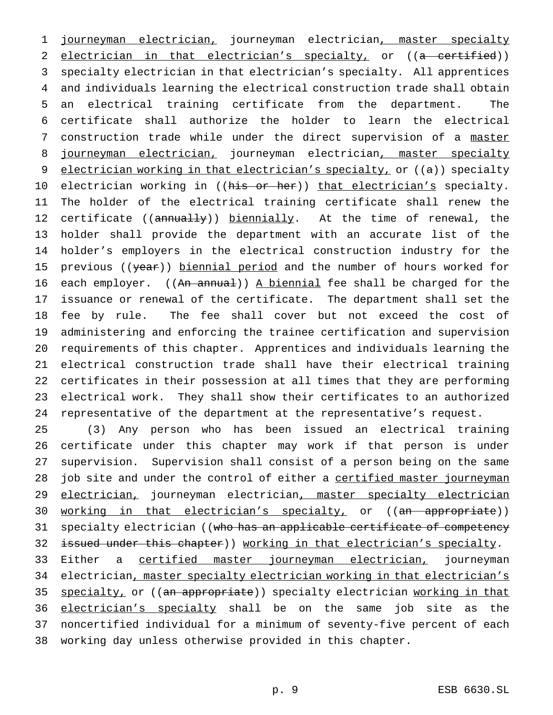1 journeyman electrician, journeyman electrician, master specialty 2 electrician in that electrician's specialty, or ((a certified)) specialty electrician in that electrician's specialty. All apprentices and individuals learning the electrical construction trade shall obtain an electrical training certificate from the department. The certificate shall authorize the holder to learn the electrical construction trade while under the direct supervision of a master 8 journeyman electrician, journeyman electrician, master specialty 9 electrician working in that electrician's specialty, or ((a)) specialty 10 electrician working in ((his or her)) that electrician's specialty. The holder of the electrical training certificate shall renew the 12 certificate ((annually)) biennially. At the time of renewal, the holder shall provide the department with an accurate list of the holder's employers in the electrical construction industry for the 15 previous ((year)) biennial period and the number of hours worked for 16 each employer.  $((An annual))$  A biennial fee shall be charged for the issuance or renewal of the certificate. The department shall set the fee by rule. The fee shall cover but not exceed the cost of administering and enforcing the trainee certification and supervision requirements of this chapter. Apprentices and individuals learning the electrical construction trade shall have their electrical training certificates in their possession at all times that they are performing electrical work. They shall show their certificates to an authorized representative of the department at the representative's request.

25 (3) Any person who has been issued an electrical training 26 certificate under this chapter may work if that person is under 27 supervision. Supervision shall consist of a person being on the same 28 job site and under the control of either a certified master journeyman 29 electrician, journeyman electrician, master specialty electrician 30 working in that electrician's specialty, or ((an appropriate)) 31 specialty electrician ((who has an applicable certificate of competency 32 issued under this chapter)) working in that electrician's specialty.

33 Either a certified master journeyman electrician, journeyman 34 electrician, master specialty electrician working in that electrician's 35 specialty, or ((an appropriate)) specialty electrician working in that 36 electrician's specialty shall be on the same job site as the 37 noncertified individual for a minimum of seventy-five percent of each 38 working day unless otherwise provided in this chapter.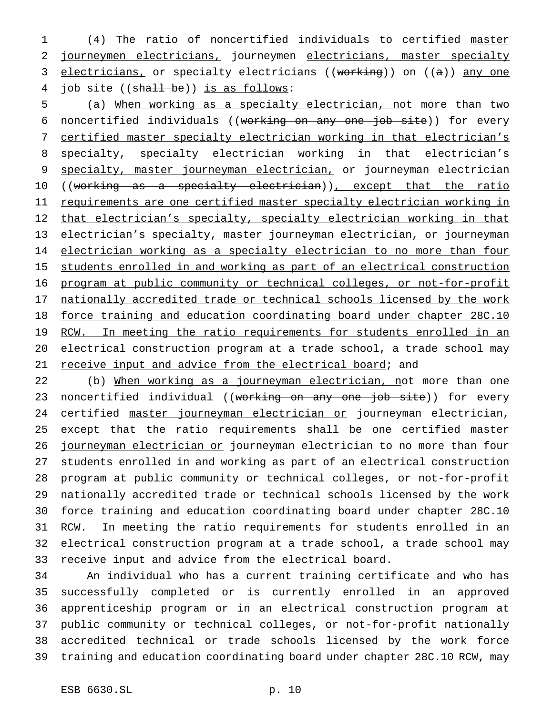1 (4) The ratio of noncertified individuals to certified master 2 journeymen electricians, journeymen electricians, master specialty 3 electricians, or specialty electricians ((working)) on ((a)) any one 4 job site ((shall be)) is as follows:

5 (a) When working as a specialty electrician, not more than two 6 noncertified individuals ((working on any one job site)) for every 7 certified master specialty electrician working in that electrician's 8 specialty, specialty electrician working in that electrician's 9 specialty, master journeyman electrician, or journeyman electrician 10 ((working as a specialty electrician)), except that the ratio 11 requirements are one certified master specialty electrician working in 12 that electrician's specialty, specialty electrician working in that 13 electrician's specialty, master journeyman electrician, or journeyman 14 electrician working as a specialty electrician to no more than four 15 students enrolled in and working as part of an electrical construction 16 program at public community or technical colleges, or not-for-profit 17 nationally accredited trade or technical schools licensed by the work 18 force training and education coordinating board under chapter 28C.10 19 RCW. In meeting the ratio requirements for students enrolled in an 20 electrical construction program at a trade school, a trade school may 21 receive input and advice from the electrical board; and

22 (b) When working as a journeyman electrician, not more than one 23 noncertified individual ((working on any one job site)) for every 24 certified master journeyman electrician or journeyman electrician, 25 except that the ratio requirements shall be one certified master 26 journeyman electrician or journeyman electrician to no more than four 27 students enrolled in and working as part of an electrical construction 28 program at public community or technical colleges, or not-for-profit 29 nationally accredited trade or technical schools licensed by the work 30 force training and education coordinating board under chapter 28C.10 31 RCW. In meeting the ratio requirements for students enrolled in an 32 electrical construction program at a trade school, a trade school may 33 receive input and advice from the electrical board.

 An individual who has a current training certificate and who has successfully completed or is currently enrolled in an approved apprenticeship program or in an electrical construction program at public community or technical colleges, or not-for-profit nationally accredited technical or trade schools licensed by the work force training and education coordinating board under chapter 28C.10 RCW, may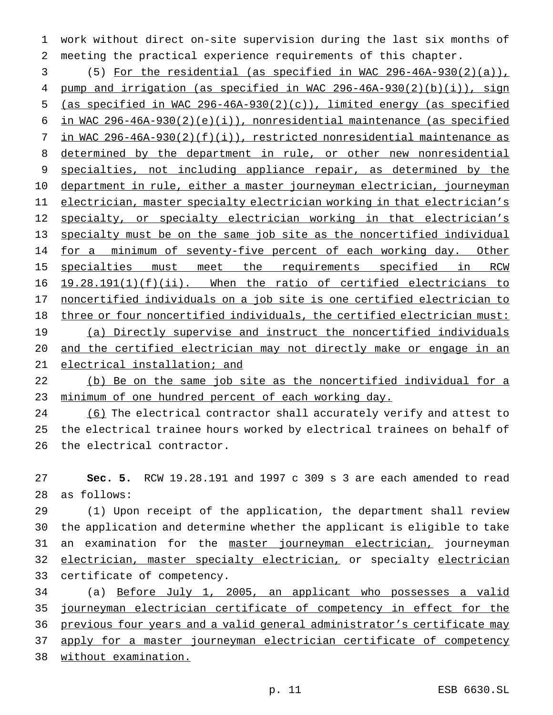work without direct on-site supervision during the last six months of meeting the practical experience requirements of this chapter.

 (5) For the residential (as specified in WAC 296-46A-930(2)(a)), pump and irrigation (as specified in WAC 296-46A-930(2)(b)(i)), sign (as specified in WAC 296-46A-930(2)(c)), limited energy (as specified in WAC 296-46A-930(2)(e)(i)), nonresidential maintenance (as specified in WAC 296-46A-930(2)(f)(i)), restricted nonresidential maintenance as determined by the department in rule, or other new nonresidential specialties, not including appliance repair, as determined by the department in rule, either a master journeyman electrician, journeyman electrician, master specialty electrician working in that electrician's 12 specialty, or specialty electrician working in that electrician's specialty must be on the same job site as the noncertified individual 14 for a minimum of seventy-five percent of each working day. Other 15 specialties must meet the requirements specified in RCW 16 19.28.191(1)(f)(ii). When the ratio of certified electricians to noncertified individuals on a job site is one certified electrician to three or four noncertified individuals, the certified electrician must: (a) Directly supervise and instruct the noncertified individuals and the certified electrician may not directly make or engage in an electrical installation; and

22 (b) Be on the same job site as the noncertified individual for a minimum of one hundred percent of each working day.

 (6) The electrical contractor shall accurately verify and attest to the electrical trainee hours worked by electrical trainees on behalf of the electrical contractor.

 **Sec. 5.** RCW 19.28.191 and 1997 c 309 s 3 are each amended to read as follows:

 (1) Upon receipt of the application, the department shall review the application and determine whether the applicant is eligible to take 31 an examination for the master journeyman electrician, journeyman 32 electrician, master specialty electrician, or specialty electrician certificate of competency.

 (a) Before July 1, 2005, an applicant who possesses a valid journeyman electrician certificate of competency in effect for the previous four years and a valid general administrator's certificate may apply for a master journeyman electrician certificate of competency without examination.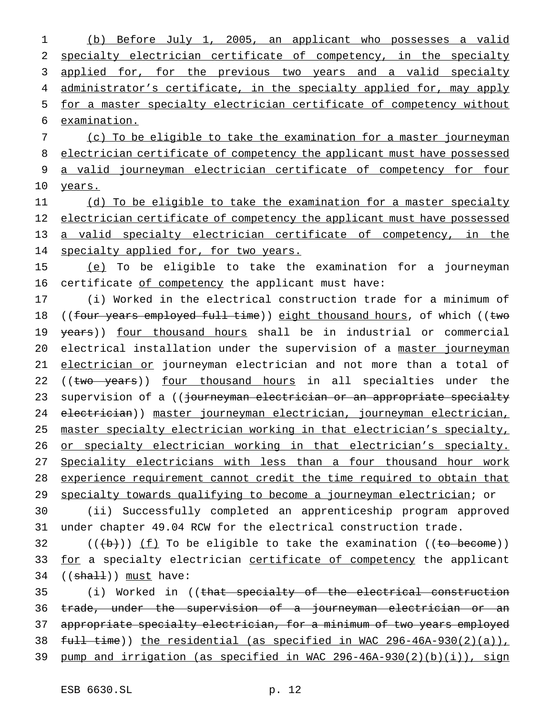(b) Before July 1, 2005, an applicant who possesses a valid specialty electrician certificate of competency, in the specialty 3 applied for, for the previous two years and a valid specialty 4 administrator's certificate, in the specialty applied for, may apply for a master specialty electrician certificate of competency without examination.

7 (c) To be eligible to take the examination for a master journeyman 8 electrician certificate of competency the applicant must have possessed 9 a valid journeyman electrician certificate of competency for four 10 years.

11 (d) To be eligible to take the examination for a master specialty 12 electrician certificate of competency the applicant must have possessed 13 a valid specialty electrician certificate of competency, in the 14 specialty applied for, for two years.

15 (e) To be eligible to take the examination for a journeyman 16 certificate of competency the applicant must have:

17 (i) Worked in the electrical construction trade for a minimum of 18 ((four years employed full time)) eight thousand hours, of which ((two 19 years)) four thousand hours shall be in industrial or commercial 20 electrical installation under the supervision of a master journeyman 21 electrician or journeyman electrician and not more than a total of 22 ((two years)) four thousand hours in all specialties under the 23 supervision of a ((journeyman electrician or an appropriate specialty 24 electrician)) master journeyman electrician, journeyman electrician, 25 master specialty electrician working in that electrician's specialty, 26 or specialty electrician working in that electrician's specialty. 27 Speciality electricians with less than a four thousand hour work 28 experience requirement cannot credit the time required to obtain that 29 specialty towards qualifying to become a journeyman electrician; or

30 (ii) Successfully completed an apprenticeship program approved 31 under chapter 49.04 RCW for the electrical construction trade.

 $32$  (((b))) <u>(f)</u> To be eligible to take the examination ((to become)) 33 for a specialty electrician certificate of competency the applicant 34 ((shall)) must have:

 (i) Worked in ((that specialty of the electrical construction trade, under the supervision of a journeyman electrician or an appropriate specialty electrician, for a minimum of two years employed  $full - time)$ ) the residential (as specified in WAC 296-46A-930(2)(a)), pump and irrigation (as specified in WAC 296-46A-930(2)(b)(i)), sign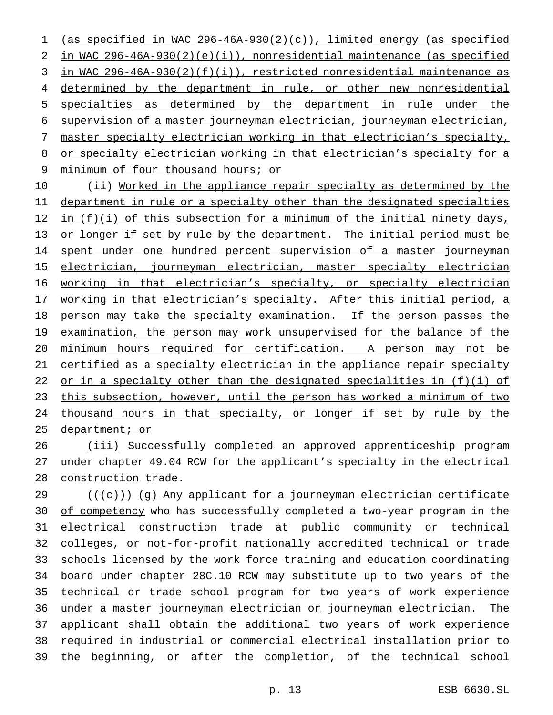(as specified in WAC 296-46A-930(2)(c)), limited energy (as specified in WAC 296-46A-930(2)(e)(i)), nonresidential maintenance (as specified in WAC 296-46A-930(2)(f)(i)), restricted nonresidential maintenance as 4 determined by the department in rule, or other new nonresidential specialties as determined by the department in rule under the supervision of a master journeyman electrician, journeyman electrician, master specialty electrician working in that electrician's specialty, or specialty electrician working in that electrician's specialty for a 9 minimum of four thousand hours; or

10 (ii) Worked in the appliance repair specialty as determined by the 11 department in rule or a specialty other than the designated specialties 12 in (f)(i) of this subsection for a minimum of the initial ninety days, 13 or longer if set by rule by the department. The initial period must be 14 spent under one hundred percent supervision of a master journeyman 15 electrician, journeyman electrician, master specialty electrician 16 working in that electrician's specialty, or specialty electrician 17 working in that electrician's specialty. After this initial period, a 18 person may take the specialty examination. If the person passes the 19 examination, the person may work unsupervised for the balance of the 20 minimum hours required for certification. A person may not be 21 certified as a specialty electrician in the appliance repair specialty 22 or in a specialty other than the designated specialities in (f)(i) of 23 this subsection, however, until the person has worked a minimum of two 24 thousand hours in that specialty, or longer if set by rule by the 25 department; or

26 (iii) Successfully completed an approved apprenticeship program 27 under chapter 49.04 RCW for the applicant's specialty in the electrical 28 construction trade.

29 (((e)) (g) Any applicant for a journeyman electrician certificate 30 of competency who has successfully completed a two-year program in the electrical construction trade at public community or technical colleges, or not-for-profit nationally accredited technical or trade schools licensed by the work force training and education coordinating board under chapter 28C.10 RCW may substitute up to two years of the technical or trade school program for two years of work experience under a master journeyman electrician or journeyman electrician. The applicant shall obtain the additional two years of work experience required in industrial or commercial electrical installation prior to the beginning, or after the completion, of the technical school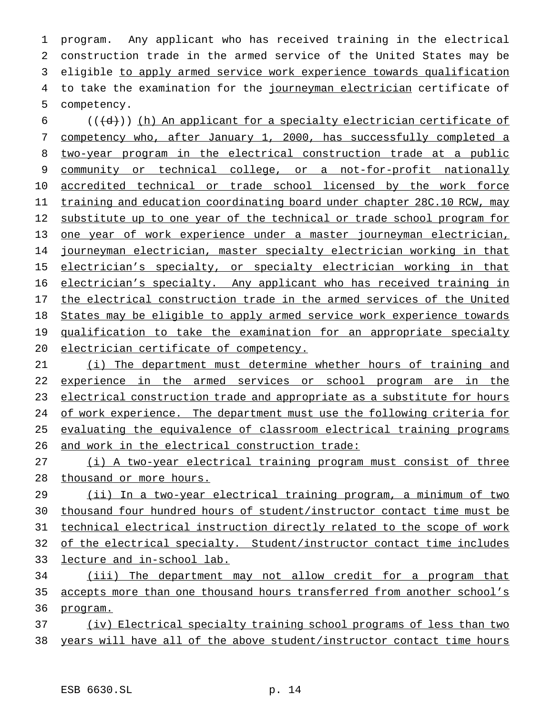program. Any applicant who has received training in the electrical construction trade in the armed service of the United States may be eligible to apply armed service work experience towards qualification 4 to take the examination for the journeyman electrician certificate of competency.

 $($   $((\dagger d))$  (h) An applicant for a specialty electrician certificate of competency who, after January 1, 2000, has successfully completed a two-year program in the electrical construction trade at a public community or technical college, or a not-for-profit nationally accredited technical or trade school licensed by the work force training and education coordinating board under chapter 28C.10 RCW, may substitute up to one year of the technical or trade school program for one year of work experience under a master journeyman electrician, journeyman electrician, master specialty electrician working in that 15 electrician's specialty, or specialty electrician working in that 16 electrician's specialty. Any applicant who has received training in 17 the electrical construction trade in the armed services of the United States may be eligible to apply armed service work experience towards 19 qualification to take the examination for an appropriate specialty electrician certificate of competency.

 (i) The department must determine whether hours of training and 22 experience in the armed services or school program are in the 23 electrical construction trade and appropriate as a substitute for hours 24 of work experience. The department must use the following criteria for evaluating the equivalence of classroom electrical training programs and work in the electrical construction trade:

 (i) A two-year electrical training program must consist of three thousand or more hours.

 (ii) In a two-year electrical training program, a minimum of two thousand four hundred hours of student/instructor contact time must be technical electrical instruction directly related to the scope of work of the electrical specialty. Student/instructor contact time includes lecture and in-school lab.

 (iii) The department may not allow credit for a program that accepts more than one thousand hours transferred from another school's 36 program.

 (iv) Electrical specialty training school programs of less than two years will have all of the above student/instructor contact time hours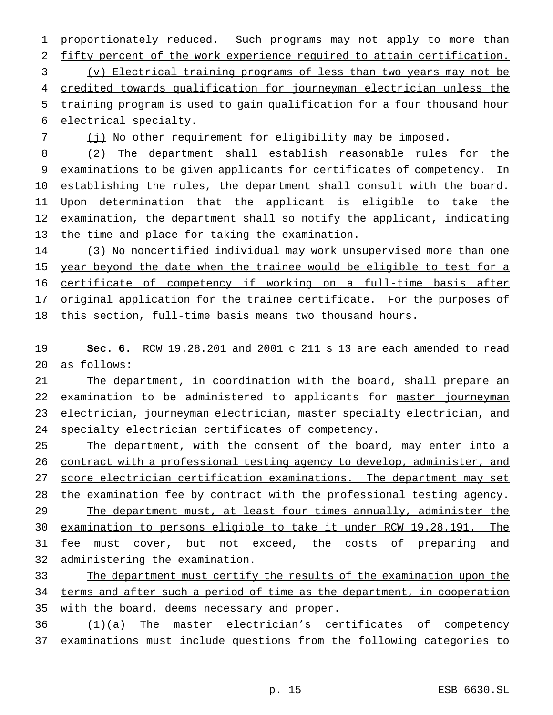1 proportionately reduced. Such programs may not apply to more than fifty percent of the work experience required to attain certification. (v) Electrical training programs of less than two years may not be credited towards qualification for journeyman electrician unless the training program is used to gain qualification for a four thousand hour electrical specialty.

(j) No other requirement for eligibility may be imposed.

 (2) The department shall establish reasonable rules for the examinations to be given applicants for certificates of competency. In establishing the rules, the department shall consult with the board. Upon determination that the applicant is eligible to take the examination, the department shall so notify the applicant, indicating the time and place for taking the examination.

 (3) No noncertified individual may work unsupervised more than one 15 year beyond the date when the trainee would be eligible to test for a certificate of competency if working on a full-time basis after 17 original application for the trainee certificate. For the purposes of this section, full-time basis means two thousand hours.

 **Sec. 6.** RCW 19.28.201 and 2001 c 211 s 13 are each amended to read as follows:

 The department, in coordination with the board, shall prepare an 22 examination to be administered to applicants for master journeyman electrician, journeyman electrician, master specialty electrician, and 24 specialty electrician certificates of competency.

25 The department, with the consent of the board, may enter into a contract with a professional testing agency to develop, administer, and score electrician certification examinations. The department may set 28 the examination fee by contract with the professional testing agency. 29 The department must, at least four times annually, administer the examination to persons eligible to take it under RCW 19.28.191. The 31 fee must cover, but not exceed, the costs of preparing and administering the examination.

33 The department must certify the results of the examination upon the terms and after such a period of time as the department, in cooperation 35 with the board, deems necessary and proper.

 (1)(a) The master electrician's certificates of competency examinations must include questions from the following categories to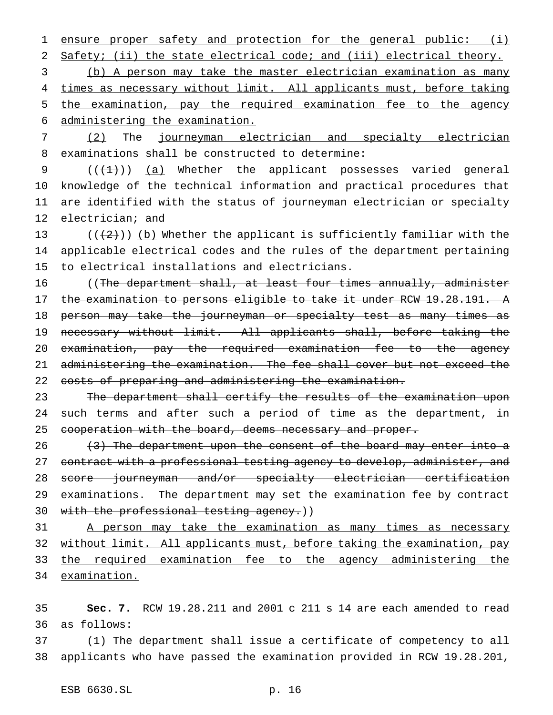ensure proper safety and protection for the general public: (i) Safety; (ii) the state electrical code; and (iii) electrical theory.

 (b) A person may take the master electrician examination as many 4 times as necessary without limit. All applicants must, before taking the examination, pay the required examination fee to the agency administering the examination.

 (2) The journeyman electrician and specialty electrician 8 examinations shall be constructed to determine:

 $((+1))$   $(a)$  Whether the applicant possesses varied general knowledge of the technical information and practical procedures that are identified with the status of journeyman electrician or specialty electrician; and

13 ( $(\frac{1}{2})$ ) (b) Whether the applicant is sufficiently familiar with the applicable electrical codes and the rules of the department pertaining to electrical installations and electricians.

16 ((The department shall, at least four times annually, administer the examination to persons eligible to take it under RCW 19.28.191. A 18 person may take the journeyman or specialty test as many times as necessary without limit. All applicants shall, before taking the examination, pay the required examination fee to the agency administering the examination. The fee shall cover but not exceed the 22 costs of preparing and administering the examination.

23 The department shall certify the results of the examination upon 24 such terms and after such a period of time as the department, in 25 cooperation with the board, deems necessary and proper.

 (3) The department upon the consent of the board may enter into a 27 contract with a professional testing agency to develop, administer, and score journeyman and/or specialty electrician certification 29 examinations. The department may set the examination fee by contract 30 with the professional testing agency.))

31 A person may take the examination as many times as necessary without limit. All applicants must, before taking the examination, pay the required examination fee to the agency administering the examination.

 **Sec. 7.** RCW 19.28.211 and 2001 c 211 s 14 are each amended to read as follows:

 (1) The department shall issue a certificate of competency to all applicants who have passed the examination provided in RCW 19.28.201,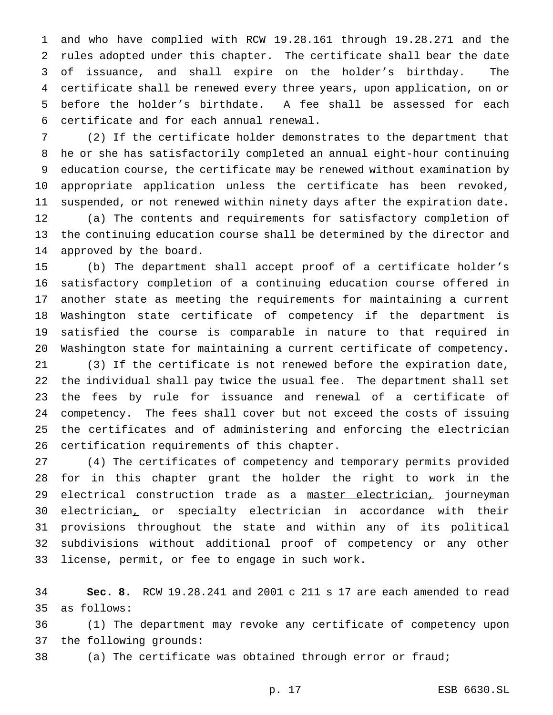and who have complied with RCW 19.28.161 through 19.28.271 and the rules adopted under this chapter. The certificate shall bear the date of issuance, and shall expire on the holder's birthday. The certificate shall be renewed every three years, upon application, on or before the holder's birthdate. A fee shall be assessed for each certificate and for each annual renewal.

 (2) If the certificate holder demonstrates to the department that he or she has satisfactorily completed an annual eight-hour continuing education course, the certificate may be renewed without examination by appropriate application unless the certificate has been revoked, suspended, or not renewed within ninety days after the expiration date. (a) The contents and requirements for satisfactory completion of the continuing education course shall be determined by the director and approved by the board.

 (b) The department shall accept proof of a certificate holder's satisfactory completion of a continuing education course offered in another state as meeting the requirements for maintaining a current Washington state certificate of competency if the department is satisfied the course is comparable in nature to that required in Washington state for maintaining a current certificate of competency.

 (3) If the certificate is not renewed before the expiration date, the individual shall pay twice the usual fee. The department shall set the fees by rule for issuance and renewal of a certificate of competency. The fees shall cover but not exceed the costs of issuing the certificates and of administering and enforcing the electrician certification requirements of this chapter.

 (4) The certificates of competency and temporary permits provided for in this chapter grant the holder the right to work in the 29 electrical construction trade as a master electrician, journeyman electrician, or specialty electrician in accordance with their provisions throughout the state and within any of its political subdivisions without additional proof of competency or any other license, permit, or fee to engage in such work.

 **Sec. 8.** RCW 19.28.241 and 2001 c 211 s 17 are each amended to read as follows:

 (1) The department may revoke any certificate of competency upon the following grounds:

(a) The certificate was obtained through error or fraud;

p. 17 ESB 6630.SL